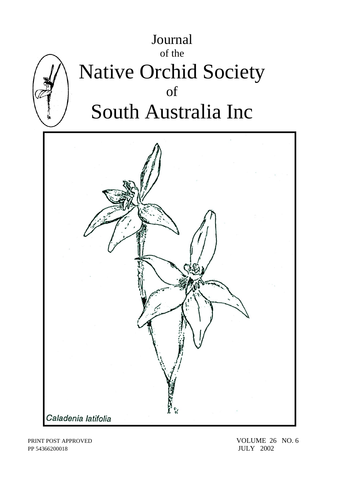

PP 54366200018 JULY 2002

PRINT POST APPROVED VOLUME 26 NO. 6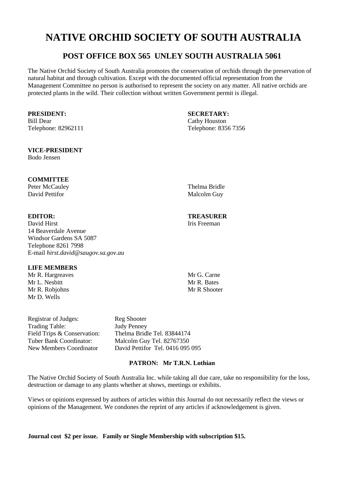# **NATIVE ORCHID SOCIETY OF SOUTH AUSTRALIA**

# **POST OFFICE BOX 565 UNLEY SOUTH AUSTRALIA 5061**

The Native Orchid Society of South Australia promotes the conservation of orchids through the preservation of natural habitat and through cultivation. Except with the documented official representation from the Management Committee no person is authorised to represent the society on any matter. All native orchids are protected plants in the wild. Their collection without written Government permit is illegal.

Bill Dear Cathy Houston

### **VICE-PRESIDENT**

Bodo Jensen

# **COMMITTEE**

Peter McCauley Thelma Bridle David Pettifor Malcolm Guy

David Hirst **Iris** Freeman 14 Beaverdale Avenue Windsor Gardens SA 5087 Telephone 8261 7998 E-mail *hirst.david@saugov.sa.gov.au*

# **LIFE MEMBERS**

Mr R. Hargreaves Mr G. Carne<br>Mr J. Neshitt Mr R. Bates Mr L. Nesbitt Mr R. Robiohns Mr R Shooter Mr D. Wells

Registrar of Judges: Reg Shooter Trading Table: Judy Penney

Field Trips & Conservation: Thelma Bridle Tel. 83844174<br>
Tuber Bank Coordinator: Malcolm Guy Tel. 82767350 Malcolm Guy Tel. 82767350 New Members Coordinator David Pettifor Tel. 0416 095 095

# **PATRON: Mr T.R.N. Lothian**

The Native Orchid Society of South Australia Inc. while taking all due care, take no responsibility for the loss, destruction or damage to any plants whether at shows, meetings or exhibits.

Views or opinions expressed by authors of articles within this Journal do not necessarily reflect the views or opinions of the Management. We condones the reprint of any articles if acknowledgement is given.

**Journal cost \$2 per issue. Family or Single Membership with subscription \$15.** 

**PRESIDENT: SECRETARY:** Telephone: 82962111 Telephone: 8356 7356

# **EDITOR: TREASURER**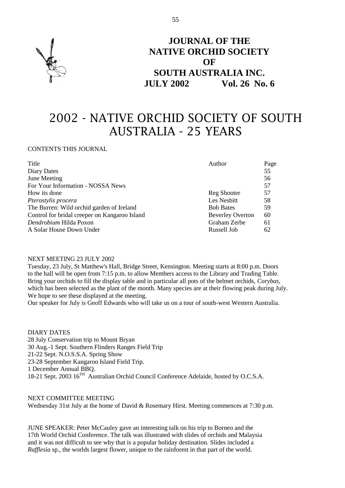

# **JOURNAL OF THE NATIVE ORCHID SOCIETY OF SOUTH AUSTRALIA INC. JULY 2002 Vol. 26 No. 6**

# 2002 - NATIVE ORCHID SOCIETY OF SOUTH AUSTRALIA - 25 YEARS

### CONTENTS THIS JOURNAL

| Title                                         | Author                  | Page |
|-----------------------------------------------|-------------------------|------|
| Diary Dates                                   |                         | 55   |
| June Meeting                                  |                         | 56   |
| For Your Information - NOSSA News             |                         | 57   |
| How its done                                  | <b>Reg Shooter</b>      | 57   |
| Pterostylis procera                           | Les Nesbitt             | 58   |
| The Burren: Wild orchid garden of Ireland     | <b>Bob Bates</b>        | 59   |
| Control for bridal creeper on Kangaroo Island | <b>Beverley Overton</b> | 60   |
| Dendrobium Hilda Poxon                        | Graham Zerbe            | 61   |
| A Solar House Down Under                      | Russell Job             | 62   |

#### NEXT MEETING 23 JULY 2002

Tuesday, 23 July, St Matthew's Hall, Bridge Street, Kensington. Meeting starts at 8:00 p.m. Doors to the hall will be open from 7:15 p.m. to allow Members access to the Library and Trading Table. Bring your orchids to fill the display table and in particular all pots of the helmet orchids, *Corybas*, which has been selected as the plant of the month. Many species are at their flowing peak during July. We hope to see these displayed at the meeting.

Our speaker for July is Geoff Edwards who will take us on a tour of south-west Western Australia.

DIARY DATES 28 July Conservation trip to Mount Bryan 30 Aug.-1 Sept. Southern Flinders Ranges Field Trip 21-22 Sept. N.O.S.S.A. Spring Show 23-28 September Kangaroo Island Field Trip. 1 December Annual BBQ. 1 December Annual DDV.<br>18-21 Sept. 2003 16<sup>TH</sup> Australian Orchid Council Conference Adelaide, hosted by O.C.S.A.

NEXT COMMITTEE MEETING Wednesday 31st July at the home of David & Rosemary Hirst. Meeting commences at 7:30 p.m.

JUNE SPEAKER: Peter McCauley gave an interesting talk on his trip to Borneo and the 17th World Orchid Conference. The talk was illustrated with slides of orchids and Malaysia and it was not difficult to see why that is a popular holiday destination. Slides included a *Rafflesia* sp., the worlds largest flower, unique to the rainforest in that part of the world.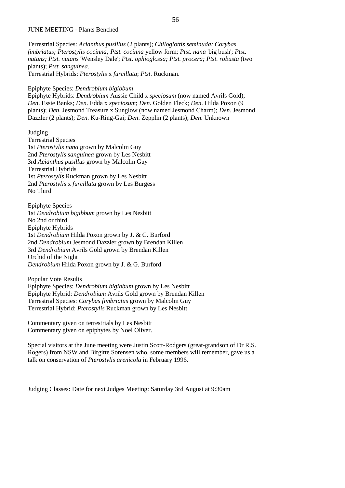#### JUNE MEETING - Plants Benched

Terrestrial Species: *Acianthus pusillus* (2 plants); *Chiloglottis seminuda; Corybas fimbriatus; Pterostylis cocinna; Ptst. cocinna* yellow form; *Ptst. nana* 'big bush'; *Ptst*. *nutans; Ptst. nutans* 'Wensley Dale'; *Ptst. ophioglossa; Ptst. procera; Ptst. robusta* (two plants); *Ptst. sanguinea*. Terrestrial Hybrids: *Pterostylis* x *furcillata*; *Ptst*. Ruckman.

Epiphyte Species: *Dendrobium bigibbum*

Epiphyte Hybrids: *Dendrobium* Aussie Child x *speciosum* (now named Avrils Gold); *Den*. Essie Banks; *Den*. Edda x *speciosum*; *Den*. Golden Fleck; *Den*. Hilda Poxon (9 plants); *Den*. Jesmond Treasure x Sunglow (now named Jesmond Charm); *Den*. Jesmond Dazzler (2 plants); *Den*. Ku-Ring-Gai; *Den*. Zepplin (2 plants); *Den*. Unknown

Judging Terrestrial Species 1st *Pterostylis nana* grown by Malcolm Guy 2nd *Pterostylis sanguinea* grown by Les Nesbitt 3rd *Acianthus pusillus* grown by Malcolm Guy Terrestrial Hybrids 1st *Pterostylis* Ruckman grown by Les Nesbitt 2nd *Pterostylis* x *furcillata* grown by Les Burgess No Third

Epiphyte Species 1st *Dendrobium bigibbum* grown by Les Nesbitt No 2nd or third Epiphyte Hybrids 1st *Dendrobium* Hilda Poxon grown by J. & G. Burford 2nd *Dendrobium* Jesmond Dazzler grown by Brendan Killen 3rd *Dendrobium* Avrils Gold grown by Brendan Killen Orchid of the Night *Dendrobium* Hilda Poxon grown by J. & G. Burford

Popular Vote Results Epiphyte Species: *Dendrobium bigibbum* grown by Les Nesbitt Epiphyte Hybrid: *Dendrobium* Avrils Gold grown by Brendan Killen Terrestrial Species: *Corybas fimbriatus* grown by Malcolm Guy Terrestrial Hybrid: *Pterostylis* Ruckman grown by Les Nesbitt

Commentary given on terrestrials by Les Nesbitt Commentary given on epiphytes by Noel Oliver.

Special visitors at the June meeting were Justin Scott-Rodgers (great-grandson of Dr R.S. Rogers) from NSW and Birgitte Sorensen who, some members will remember, gave us a talk on conservation of *Pterostylis arenicola* in February 1996.

Judging Classes: Date for next Judges Meeting: Saturday 3rd August at 9:30am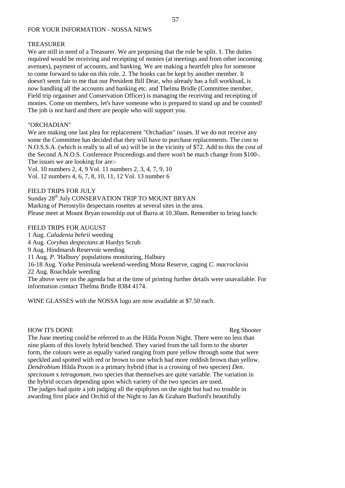### FOR YOUR INFORMATION - NOSSA NEWS

#### **TREASURER**

We are still in need of a Treasurer. We are proposing that the role be split. 1. The duties required would be receiving and receipting of monies (at meetings and from other incoming avenues), payment of accounts, and banking. We are making a heartfelt plea for someone to come forward to take on this role. 2. The books can be kept by another member. It doesn't seem fair to me that our President Bill Dear, who already has a full workload, is now handling all the accounts and banking etc. and Thelma Bridle (Committee member, Field trip organiser and Conservation Officer) is managing the receiving and receipting of monies. Come on members, let's have someone who is prepared to stand up and be counted! The job is not hard and there are people who will support you.

#### "ORCHADIAN"

We are making one last plea for replacement "Orchadian" issues. If we do not receive any some the Committee has decided that they will have to purchase replacements. The cost to N.O.S.S.A. (which is really to all of us) will be in the vicinity of \$72. Add to this the cost of the Second A.N.O.S. Conference Proceedings and there won't be much change from \$100-. The issues we are looking for are:-

Vol. 10 numbers 2, 4, 9 Vol. 11 numbers 2, 3, 4, 7, 9, 10 Vol. 12 numbers 4, 6, 7, 8, 10, 11, 12 Vol. 13 number 6

FIELD TRIPS FOR JULY

Sunday 28<sup>th</sup> July CONSERVATION TRIP TO MOUNT BRYAN

Marking of Pterostylis despectans rosettes at several sites in the area.

Please meet at Mount Bryan township out of Burra at 10.30am. Remember to bring lunch:

#### FIELD TRIPS FOR AUGUST

1 Aug. *Caladenia behrii* weeding 4 Aug. *Corybas despectans* at Hardys Scrub 9 Aug. Hindmarsh Reservoir weeding 11 Aug. *P*. 'Halbury' populations monitoring, Halbury 16-18 Aug. Yorke Peninsula weekend-weeding Mona Reserve, caging *C. macroclavia* 22 Aug. Roachdale weeding The above were on the agenda but at the time of printing further details were unavailable. For information contact Thelma Bridle 8384 4174.

WINE GLASSES with the NOSSA logo are now available at \$7.50 each.

#### HOW ITS DONE Reg Shooter

The June meeting could be referred to as the Hilda Poxon Night. There were no less than nine plants of this lovely hybrid benched. They varied from the tall form to the shorter form, the colours were as equally varied ranging from pure yellow through some that were speckled and spotted with red or brown to one which had more reddish brown than yellow. *Dendrobium* Hilda Poxon is a primary hybrid (that is a crossing of two species) *Den*. *speciosum* x *tetragonum*, two species that themselves are quite variable. The variation in the hybrid occurs depending upon which variety of the two species are used. The judges had quite a job judging all the epiphytes on the night but had no trouble in awarding first place and Orchid of the Night to Jan & Graham Burford's beautifully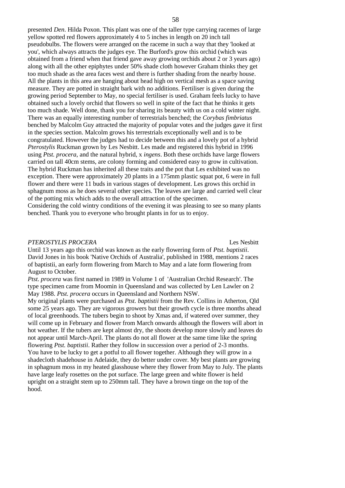presented *Den*. Hilda Poxon. This plant was one of the taller type carrying racemes of large yellow spotted red flowers approximately 4 to 5 inches in length on 20 inch tall pseudobulbs. The flowers were arranged on the raceme in such a way that they 'looked at you', which always attracts the judges eye. The Burford's grow this orchid (which was obtained from a friend when that friend gave away growing orchids about 2 or 3 years ago) along with all the other epiphytes under 50% shade cloth however Graham thinks they get too much shade as the area faces west and there is further shading from the nearby house. All the plants in this area are hanging about head high on vertical mesh as a space saving measure. They are potted in straight bark with no additions. Fertiliser is given during the growing period September to May, no special fertiliser is used. Graham feels lucky to have obtained such a lovely orchid that flowers so well in spite of the fact that he thinks it gets too much shade. Well done, thank you for sharing its beauty with us on a cold winter night. There was an equally interesting number of terrestrials benched; the *Corybas fimbriatus* benched by Malcolm Guy attracted the majority of popular votes and the judges gave it first in the species section. Malcolm grows his terrestrials exceptionally well and is to be congratulated. However the judges had to decide between this and a lovely pot of a hybrid *Pterostylis* Ruckman grown by Les Nesbitt. Les made and registered this hybrid in 1996 using *Ptst. procera*, and the natural hybrid, x *ingens*. Both these orchids have large flowers carried on tall 40cm stems, are colony forming and considered easy to grow in cultivation. The hybrid Ruckman has inherited all these traits and the pot that Les exhibited was no exception. There were approximately 20 plants in a 175mm plastic squat pot, 6 were in full flower and there were 11 buds in various stages of development. Les grows this orchid in sphagnum moss as he does several other species. The leaves are large and carried well clear of the potting mix which adds to the overall attraction of the specimen.

Considering the cold wintry conditions of the evening it was pleasing to see so many plants benched. Thank you to everyone who brought plants in for us to enjoy.

#### *PTEROSTYLIS PROCERA* Les Nesbitt

Until 13 years ago this orchid was known as the early flowering form of *Ptst. baptistii*. David Jones in his book 'Native Orchids of Australia', published in 1988, mentions 2 races of baptistii, an early form flowering from March to May and a late form flowering from August to October.

*Ptst. procera* was first named in 1989 in Volume 1 of 'Australian Orchid Research'. The type specimen came from Moomin in Queensland and was collected by Len Lawler on 2 May 1988. *Ptst. procera* occurs in Queensland and Northern NSW.

My original plants were purchased as *Ptst. baptistii* from the Rev. Collins in Atherton, Qld some 25 years ago. They are vigorous growers but their growth cycle is three months ahead of local greenhoods. The tubers begin to shoot by Xmas and, if watered over summer, they will come up in February and flower from March onwards although the flowers will abort in hot weather. If the tubers are kept almost dry, the shoots develop more slowly and leaves do not appear until March-April. The plants do not all flower at the same time like the spring flowering *Ptst. baptistii*. Rather they follow in succession over a period of 2-3 months. You have to be lucky to get a potful to all flower together. Although they will grow in a shadecloth shadehouse in Adelaide, they do better under cover. My best plants are growing in sphagnum moss in my heated glasshouse where they flower from May to July. The plants have large leafy rosettes on the pot surface. The large green and white flower is held upright on a straight stem up to 250mm tall. They have a brown tinge on the top of the hood.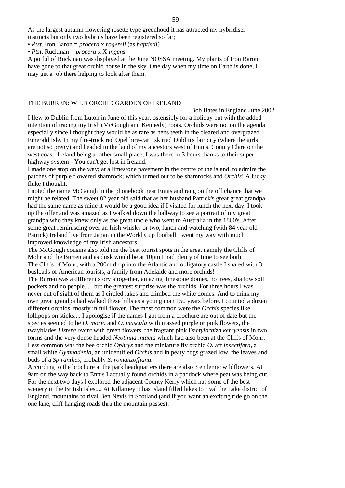As the largest autumn flowering rosette type greenhood it has attracted my hybridiser instincts but only two hybrids have been registered so far;

• *Ptst*. Iron Baron = *procera* x *rogersii* (as *baptistii*)

• *Ptst*. Ruckman = *procera* x X *ingens*

A potful of Ruckman was displayed at the June NOSSA meeting. My plants of Iron Baron have gone to that great orchid house in the sky. One day when my time on Earth is done, I may get a job there helping to look after them.

#### THE BURREN: WILD ORCHID GARDEN OF IRELAND

Bob Bates in England June 2002

I flew to Dublin from Luton in June of this year, ostensibly for a holiday but with the added intention of tracing my Irish (McGough and Kennedy) roots. Orchids were not on the agenda especially since I thought they would be as rare as hens teeth in the cleared and overgrazed Emerald Isle. In my fire-truck red Opel hire-car I skirted Dublin's fair city (where the girls are not so pretty) and headed to the land of my ancestors west of Ennis, County Clare on the west coast. Ireland being a rather small place, I was there in 3 hours thanks to their super highway system - You can't get lost in Ireland.

I made one stop on the way; at a limestone pavement in the centre of the island, to admire the patches of purple flowered shamrock; which turned out to be shamrocks and *Orchis*! A lucky fluke I thought.

I noted the name McGough in the phonebook near Ennis and rang on the off chance that we might be related. The sweet 82 year old said that as her husband Patrick's great great grandpa had the same name as mine it would be a good idea if I visited for lunch the next day. I took up the offer and was amazed as I walked down the hallway to see a portrait of my great grandpa who they knew only as the great uncle who went to Australia in the 1860's. After some great reminiscing over an Irish whisky or two, lunch and watching (with 84 year old Patrick) Ireland live from Japan in the World Cup football I went my way with much improved knowledge of my Irish ancestors.

The McGough cousins also told me the best tourist spots in the area, namely the Cliffs of Mohr and the Burren and as dusk would be at 10pm I had plenty of time to see both. The Cliffs of Mohr, with a 200m drop into the Atlantic and obligatory castle I shared with 3 busloads of American tourists, a family from Adelaide and more orchids!

The Burren was a different story altogether, amazing limestone domes, no trees, shallow soil pockets and no people...\_ but the greatest surprise was the orchids. For three hours I was never out of sight of them as I circled lakes and climbed the white domes. And to think my own great grandpa had walked these hills as a young man 150 years before. I counted a dozen different orchids, mostly in full flower. The most common were the *Orchis* species like lollipops on sticks.... I apologise if the names I got from a brochure are out of date but the species seemed to be *O. morio* and *O. mascula* with massed purple or pink flowers, the twayblades *Listera ovata* with green flowers, the fragrant pink Dac*tylorhiza kerryensis* in two forms and the very dense headed *Neotinna intacta* which had also been at the Cliffs of Mohr. Less common was the bee orchid *Ophrys* and the miniature fly orchid *O*. aff *insectifera*, a small white *Gymnadenia*, an unidentified *Orchis* and in peaty bogs grazed low, the leaves and buds of a *Spiranthes*, probably *S. romanzoffiana*.

According to the brochure at the park headquarters there are also 3 endemic wildflowers. At 9am on the way back to Ennis I actually found orchids in a paddock where peat was being cut. For the next two days I explored the adjacent County Kerry which has some of the best scenery in the British Isles.... At Killarney it has island filled lakes to rival the Lake district of England, mountains to rival Ben Nevis in Scotland (and if you want an exciting ride go on the one lane, cliff hanging roads thru the mountain passes).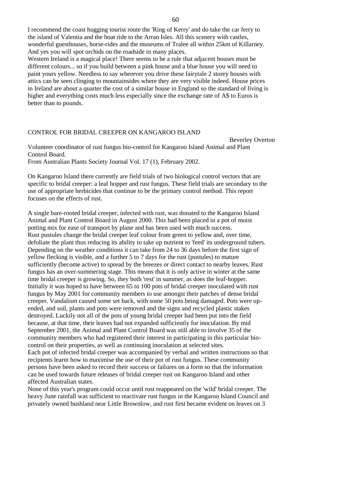I recommend the coast hugging tourist route the 'Ring of Kerry' and do take the car ferry to the island of Valentia and the boat ride to the Arran Isles. All this scenery with castles, wonderful guesthouses, horse-rides and the museums of Tralee all within 25km of Killarney. And yes you will spot orchids on the roadside in many places.

Western Ireland is a magical place! There seems to be a rule that adjacent houses must be different colours... so if you build between a pink house and a blue house you will need to paint yours yellow. Needless to say wherever you drive these fairytale 2 storey houses with attics can be seen clinging to mountainsides where they are very visible indeed. House prices in Ireland are about a quarter the cost of a similar house in England so the standard of living is higher and everything costs much less especially since the exchange rate of A\$ to Euros is better than to pounds.

### CONTROL FOR BRIDAL CREEPER ON KANGAROO ISLAND

Beverley Overton

Volunteer coordinator of rust fungus bio-control for Kangaroo Island Animal and Plant Control Board. From Australian Plants Society Journal Vol. 17 (1), February 2002.

On Kangaroo Island there currently are field trials of two biological control vectors that are specific to bridal creeper: a leaf hopper and rust fungus. These field trials are secondary to the use of appropriate herbicides that continue to be the primary control method. This report focuses on the effects of rust.

A single bare-rooted bridal creeper, infected with rust, was donated to the Kangaroo Island Animal and Plant Control Board in August 2000. This had been placed in a pot of moist potting mix for ease of transport by plane and has been used with much success. Rust pustules change the bridal creeper leaf colour from green to yellow and, over time, defoliate the plant thus reducing its ability to take up nutrient to 'feed' its underground tubers. Depending on the weather conditions it can take from 24 to 36 days before the first sign of yellow flecking is visible, and a further 5 to 7 days for the rust (pustules) to mature sufficiently (become active) to spread by the breezes or direct contact to nearby leaves. Rust fungus has an over-summering stage. This means that it is only active in winter at the same time bridal creeper is growing. So, they both 'rest' in summer, as does the leaf-hopper. Initially it was hoped to have between 65 to 100 pots of bridal creeper inoculated with rust fungus by May 2001 for community members to use amongst their patches of dense bridal creeper. Vandalism caused some set back, with some 50 pots being damaged. Pots were upended, and soil, plants and pots were removed and the signs and recycled plastic stakes destroyed. Luckily not all of the pots of young bridal creeper had been put into the field because, at that time, their leaves had not expanded sufficiently for inoculation. By mid September 2001, the Animal and Plant Control Board was still able to involve 35 of the community members who had registered their interest in participating in this particular biocontrol on their properties, as well as continuing inoculation at selected sites. Each pot of infected bridal creeper was accompanied by verbal and written instructions so that recipients learnt how to maximise the use of their pot of rust fungus. These community persons have been asked to record their success or failures on a form so that the information can be used towards future releases of bridal creeper rust on Kangaroo Island and other affected Australian states.

None of this year's program could occur until rust reappeared on the 'wild' bridal creeper. The heavy June rainfall was sufficient to reactivate rust fungus in the Kangaroo Island Council and privately owned bushland near Little Brownlow, and rust first became evident on leaves on 3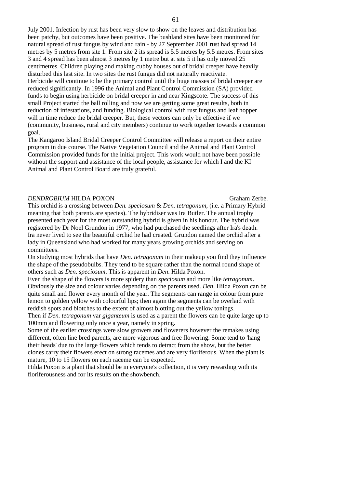July 2001. Infection by rust has been very slow to show on the leaves and distribution has been patchy, but outcomes have been positive. The bushland sites have been monitored for natural spread of rust fungus by wind and rain - by 27 September 2001 rust had spread 14 metres by 5 metres from site 1. From site 2 its spread is 5.5 metres by 5.5 metres. From sites 3 and 4 spread has been almost 3 metres by 1 metre but at site 5 it has only moved 25 centimetres. Children playing and making cubby houses out of bridal creeper have heavily disturbed this last site. In two sites the rust fungus did not naturally reactivate. Herbicide will continue to be the primary control until the huge masses of bridal creeper are reduced significantly. In 1996 the Animal and Plant Control Commission (SA) provided funds to begin using herbicide on bridal creeper in and near Kingscote. The success of this small Project started the ball rolling and now we are getting some great results, both in reduction of infestations, and funding. Biological control with rust fungus and leaf hopper will in time reduce the bridal creeper. But, these vectors can only be effective if we (community, business, rural and city members) continue to work together towards a common goal.

The Kangaroo Island Bridal Creeper Control Committee will release a report on their entire program in due course. The Native Vegetation Council and the Animal and Plant Control Commission provided funds for the initial project. This work would not have been possible without the support and assistance of the local people, assistance for which I and the KI Animal and Plant Control Board are truly grateful.

#### *DENDROBIUM* HILDA POXON Graham Zerbe.

This orchid is a crossing between *Den. speciosum* & *Den. tetragonum*, (i.e. a Primary Hybrid meaning that both parents are species). The hybridiser was Ira Butler. The annual trophy presented each year for the most outstanding hybrid is given in his honour. The hybrid was registered by Dr Noel Grundon in 1977, who had purchased the seedlings after Ira's death. Ira never lived to see the beautiful orchid he had created. Grundon named the orchid after a lady in Queensland who had worked for many years growing orchids and serving on committees.

On studying most hybrids that have *Den. tetragonum* in their makeup you find they influence the shape of the pseudobulbs. They tend to be square rather than the normal round shape of others such as *Den. speciosum*. This is apparent in *Den*. Hilda Poxon.

Even the shape of the flowers is more spidery than *speciosum* and more like *tetragonum*. Obviously the size and colour varies depending on the parents used. *Den*. Hilda Poxon can be quite small and flower every month of the year. The segments can range in colour from pure lemon to golden yellow with colourful lips; then again the segments can be overlaid with reddish spots and blotches to the extent of almost blotting out the yellow tonings.

Then if *Den. tetragonum* var *giganteum* is used as a parent the flowers can be quite large up to 100mm and flowering only once a year, namely in spring.

Some of the earlier crossings were slow growers and flowerers however the remakes using different, often line bred parents, are more vigorous and free flowering. Some tend to 'hang their heads' due to the large flowers which tends to detract from the show, but the better clones carry their flowers erect on strong racemes and are very floriferous. When the plant is mature, 10 to 15 flowers on each raceme can be expected.

Hilda Poxon is a plant that should be in everyone's collection, it is very rewarding with its floriferousness and for its results on the showbench.

61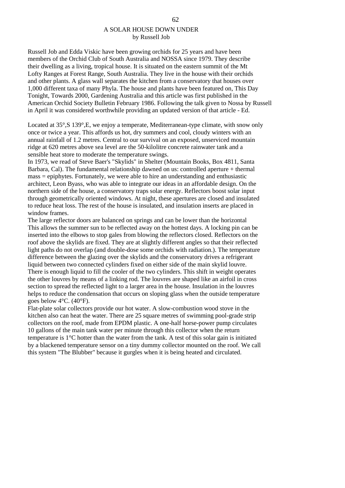# A SOLAR HOUSE DOWN UNDER by Russell Job

Russell Job and Edda Viskic have been growing orchids for 25 years and have been members of the Orchid Club of South Australia and NOSSA since 1979. They describe their dwelling as a living, tropical house. It is situated on the eastern summit of the Mt Lofty Ranges at Forest Range, South Australia. They live in the house with their orchids and other plants. A glass wall separates the kitchen from a conservatory that houses over 1,000 different taxa of many Phyla. The house and plants have been featured on, This Day Tonight, Towards 2000, Gardening Australia and this article was first published in the American Orchid Society Bulletin February 1986. Following the talk given to Nossa by Russell in April it was considered worthwhile providing an updated version of that article - Ed.

Located at 35°, S 139°, E, we enjoy a temperate. Mediterranean-type climate, with snow only once or twice a year. This affords us hot, dry summers and cool, cloudy winters with an annual rainfall of 1.2 metres. Central to our survival on an exposed, unserviced mountain ridge at 620 metres above sea level are the 50-kilolitre concrete rainwater tank and a sensible heat store to moderate the temperature swings.

In 1973, we read of Steve Baer's "Skylids" in Shelter (Mountain Books, Box 4811, Santa Barbara, Cal). The fundamental relationship dawned on us: controlled aperture + thermal mass = epiphytes. Fortunately, we were able to hire an understanding and enthusiastic architect, Leon Byass, who was able to integrate our ideas in an affordable design. On the northern side of the house, a conservatory traps solar energy. Reflectors boost solar input through geometrically oriented windows. At night, these apertures are closed and insulated to reduce heat loss. The rest of the house is insulated, and insulation inserts are placed in window frames.

The large reflector doors are balanced on springs and can be lower than the horizontal This allows the summer sun to be reflected away on the hottest days. A locking pin can be inserted into the elbows to stop gales from blowing the reflectors closed. Reflectors on the roof above the skylids are fixed. They are at slightly different angles so that their reflected light paths do not overlap (and double-dose some orchids with radiation.). The temperature difference between the glazing over the skylids and the conservatory drives a refrigerant liquid between two connected cylinders fixed on either side of the main skylid louvre. There is enough liquid to fill the cooler of the two cylinders. This shift in weight operates the other louvres by means of a linking rod. The louvres are shaped like an airfoil in cross section to spread the reflected light to a larger area in the house. Insulation in the louvres helps to reduce the condensation that occurs on sloping glass when the outside temperature goes below 4°C. (40°F).

Flat-plate solar collectors provide our hot water. A slow-combustion wood stove in the kitchen also can heat the water. There are 25 square metres of swimming pool-grade strip collectors on the roof, made from EPDM plastic. A one-half horse-power pump circulates 10 gallons of the main tank water per minute through this collector when the return temperature is 1°C hotter than the water from the tank. A test of this solar gain is initiated by a blackened temperature sensor on a tiny dummy collector mounted on the roof. We call this system "The Blubber" because it gurgles when it is being heated and circulated.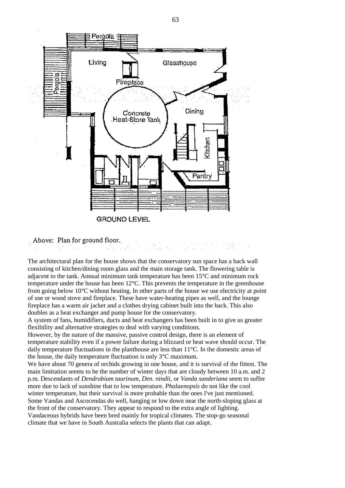

Above: Plan for ground floor.

The architectural plan for the house shows that the conservatory sun space has a back wall consisting of kitchen/dining room glass and the main storage tank. The flowering table is adjacent to the tank. Annual minimum tank temperature has been 15°C and minimum rock temperature under the house has been 12°C. This prevents the temperature in the greenhouse from going below  $10^{\circ}$ C without heating. In other parts of the house we use electricity at point of use or wood stove and fireplace. These have water-heating pipes as well, and the lounge fireplace has a warm air jacket and a clothes drying cabinet built into the back. This also doubles as a heat exchanger and pump house for the conservatory.

A system of fans, humidifiers, ducts and heat exchangers has been built in to give us greater flexibility and alternative strategies to deal with varying conditions.

However, by the nature of the massive, passive control design, there is an element of temperature stability even if a power failure during a blizzard or heat wave should occur. The daily temperature fluctuations in the planthouse are less than 11°C. In the domestic areas of the house, the daily temperature fluctuation is only 3°C maximum.

We have about 70 genera of orchids growing in one house, and it is survival of the fittest. The main limitation seems to be the number of winter days that are cloudy between 10 a.m. and 2 p.m. Descendants of *Dendrobium taurinum, Den. nindii*, or *Vanda sanderiana* seem to suffer more due to lack of sunshine that to low temperature. *Phalaenopsis* do not like the cool winter temperature, but their survival is more probable than the ones I've just mentioned. Some Vandas and Ascocendas do well, hanging or low down near the north-sloping glass at the front of the conservatory. They appear to respond to the extra angle of lighting. Vandaceous hybrids have been bred mainly for tropical climates. The stop-go seasonal climate that we have in South Australia selects the plants that can adapt.